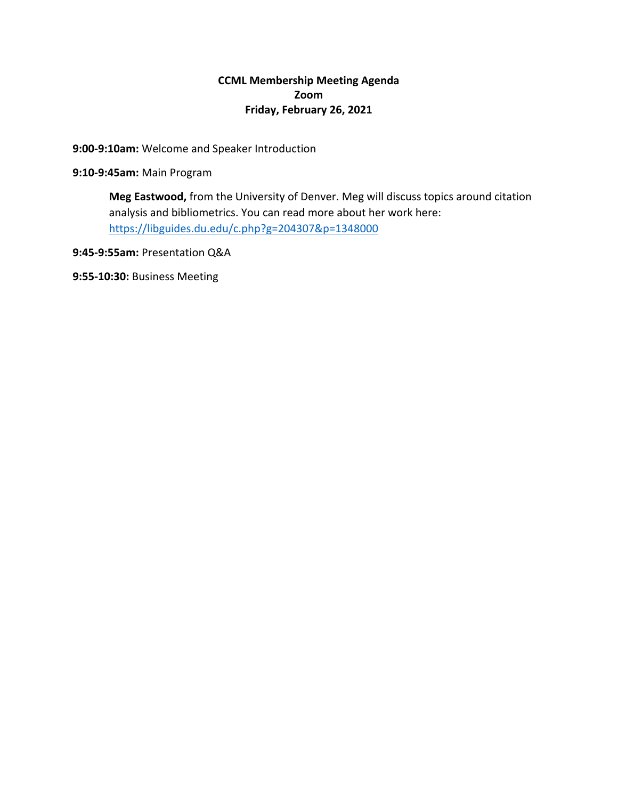# **CCML Membership Meeting Agenda Zoom Friday, February 26, 2021**

## **9:00-9:10am:** Welcome and Speaker Introduction

**9:10-9:45am:** Main Program

**Meg Eastwood,** from the University of Denver. Meg will discuss topics around citation analysis and bibliometrics. You can read more about her work here: https://libguides.du.edu/c.php?g=204307&p=1348000

**9:45-9:55am:** Presentation Q&A

**9:55-10:30:** Business Meeting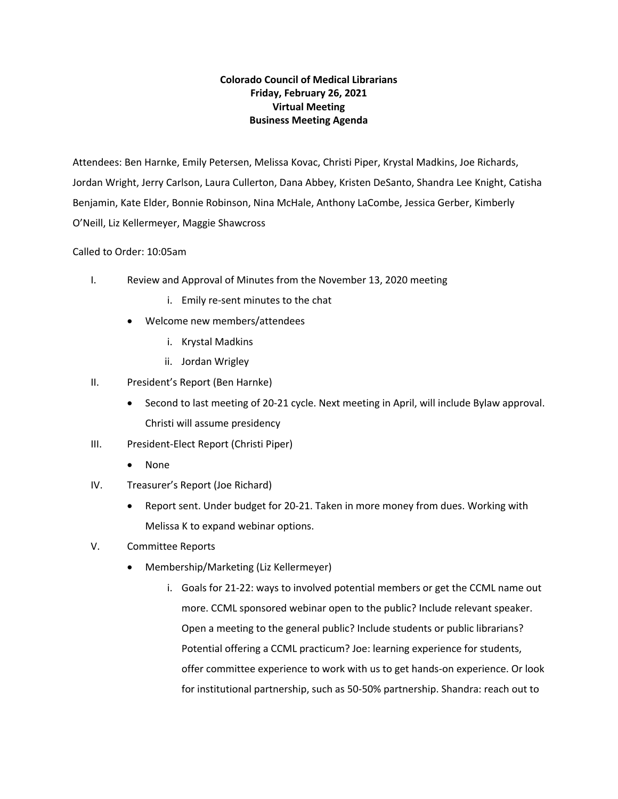## **Colorado Council of Medical Librarians Friday, February 26, 2021 Virtual Meeting Business Meeting Agenda**

Attendees: Ben Harnke, Emily Petersen, Melissa Kovac, Christi Piper, Krystal Madkins, Joe Richards, Jordan Wright, Jerry Carlson, Laura Cullerton, Dana Abbey, Kristen DeSanto, Shandra Lee Knight, Catisha Benjamin, Kate Elder, Bonnie Robinson, Nina McHale, Anthony LaCombe, Jessica Gerber, Kimberly O'Neill, Liz Kellermeyer, Maggie Shawcross

### Called to Order: 10:05am

- I. Review and Approval of Minutes from the November 13, 2020 meeting
	- i. Emily re-sent minutes to the chat
	- Welcome new members/attendees
		- i. Krystal Madkins
		- ii. Jordan Wrigley
- II. President's Report (Ben Harnke)
	- Second to last meeting of 20-21 cycle. Next meeting in April, will include Bylaw approval. Christi will assume presidency
- III. President-Elect Report (Christi Piper)
	- None
- IV. Treasurer's Report (Joe Richard)
	- Report sent. Under budget for 20-21. Taken in more money from dues. Working with Melissa K to expand webinar options.
- V. Committee Reports
	- Membership/Marketing (Liz Kellermeyer)
		- i. Goals for 21-22: ways to involved potential members or get the CCML name out more. CCML sponsored webinar open to the public? Include relevant speaker. Open a meeting to the general public? Include students or public librarians? Potential offering a CCML practicum? Joe: learning experience for students, offer committee experience to work with us to get hands-on experience. Or look for institutional partnership, such as 50-50% partnership. Shandra: reach out to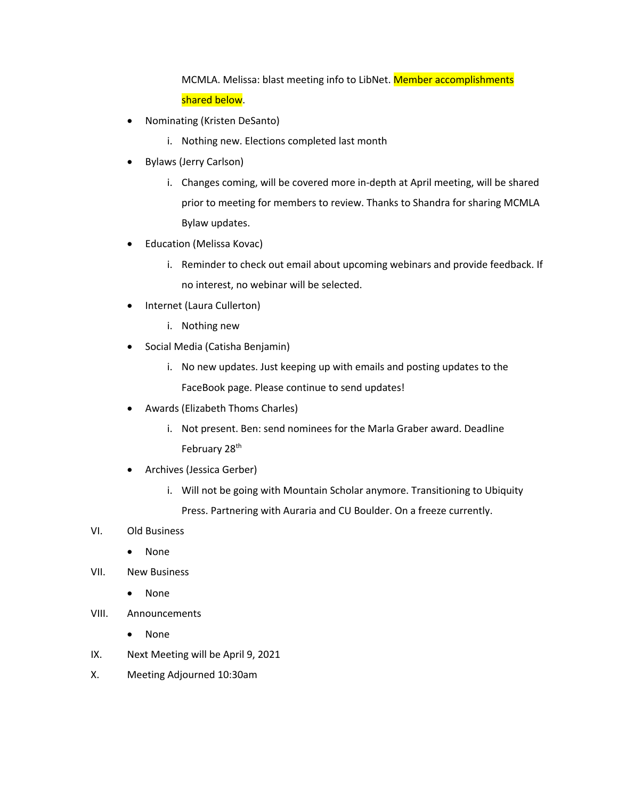MCMLA. Melissa: blast meeting info to LibNet. Member accomplishments shared below.

- Nominating (Kristen DeSanto)
	- i. Nothing new. Elections completed last month
- Bylaws (Jerry Carlson)
	- i. Changes coming, will be covered more in-depth at April meeting, will be shared prior to meeting for members to review. Thanks to Shandra for sharing MCMLA Bylaw updates.
- Education (Melissa Kovac)
	- i. Reminder to check out email about upcoming webinars and provide feedback. If no interest, no webinar will be selected.
- Internet (Laura Cullerton)
	- i. Nothing new
- Social Media (Catisha Benjamin)
	- i. No new updates. Just keeping up with emails and posting updates to the FaceBook page. Please continue to send updates!
- Awards (Elizabeth Thoms Charles)
	- i. Not present. Ben: send nominees for the Marla Graber award. Deadline February 28<sup>th</sup>
- Archives (Jessica Gerber)
	- i. Will not be going with Mountain Scholar anymore. Transitioning to Ubiquity Press. Partnering with Auraria and CU Boulder. On a freeze currently.
- VI. Old Business
	- None
- VII. New Business
	- None
- VIII. Announcements
	- None
- IX. Next Meeting will be April 9, 2021
- X. Meeting Adjourned 10:30am